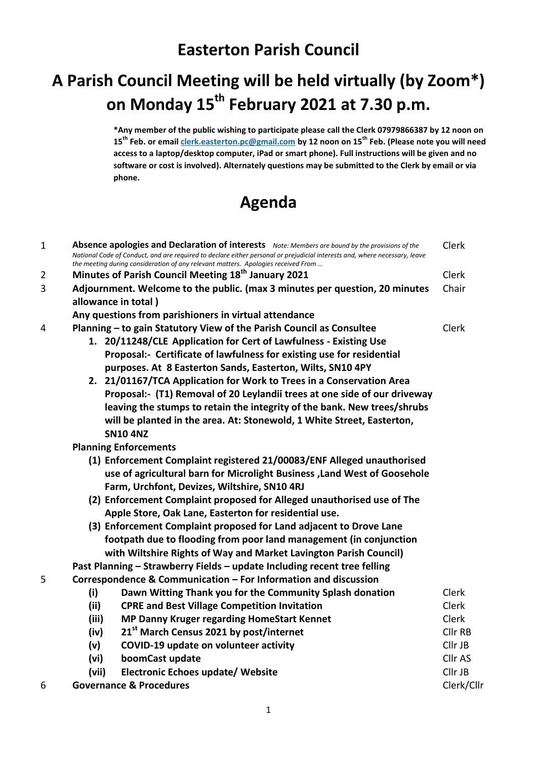## **A Parish Council Meeting will be held virtually (by Zoom\*) on Monday 15th February 2021 at 7.30 p.m.**

**\*Any member of the public wishing to participate please call the Clerk 07979866387 by 12 noon on 15th Feb. or emai[l clerk.easterton.pc@gmail.com](mailto:clerk.easterton.pc@gmail.com) by 12 noon on 15th Feb. (Please note you will need access to a laptop/desktop computer, iPad or smart phone). Full instructions will be given and no software or cost is involved). Alternately questions may be submitted to the Clerk by email or via phone.**

Clerk

## **Agenda**

1 **Absence apologies and Declaration of interests** *Note: Members are bound by the provisions of the* 

|   | National Code of Conduct, and are required to declare either personal or prejudicial interests and, where necessary, leave<br>the meeting during consideration of any relevant matters. Apologies received From |              |  |
|---|-----------------------------------------------------------------------------------------------------------------------------------------------------------------------------------------------------------------|--------------|--|
| 2 | Minutes of Parish Council Meeting 18 <sup>th</sup> January 2021                                                                                                                                                 | Clerk        |  |
| 3 | Adjournment. Welcome to the public. (max 3 minutes per question, 20 minutes                                                                                                                                     | Chair        |  |
|   | allowance in total)                                                                                                                                                                                             |              |  |
|   | Any questions from parishioners in virtual attendance                                                                                                                                                           |              |  |
| 4 | Planning - to gain Statutory View of the Parish Council as Consultee                                                                                                                                            | Clerk        |  |
|   | 1. 20/11248/CLE Application for Cert of Lawfulness - Existing Use                                                                                                                                               |              |  |
|   | Proposal:- Certificate of lawfulness for existing use for residential                                                                                                                                           |              |  |
|   | purposes. At 8 Easterton Sands, Easterton, Wilts, SN10 4PY                                                                                                                                                      |              |  |
|   | 2. 21/01167/TCA Application for Work to Trees in a Conservation Area                                                                                                                                            |              |  |
|   | Proposal:- (T1) Removal of 20 Leylandii trees at one side of our driveway                                                                                                                                       |              |  |
|   | leaving the stumps to retain the integrity of the bank. New trees/shrubs                                                                                                                                        |              |  |
|   | will be planted in the area. At: Stonewold, 1 White Street, Easterton,                                                                                                                                          |              |  |
|   | <b>SN10 4NZ</b>                                                                                                                                                                                                 |              |  |
|   | <b>Planning Enforcements</b>                                                                                                                                                                                    |              |  |
|   | (1) Enforcement Complaint registered 21/00083/ENF Alleged unauthorised                                                                                                                                          |              |  |
|   | use of agricultural barn for Microlight Business , Land West of Goosehole                                                                                                                                       |              |  |
|   | Farm, Urchfont, Devizes, Wiltshire, SN10 4RJ                                                                                                                                                                    |              |  |
|   | (2) Enforcement Complaint proposed for Alleged unauthorised use of The                                                                                                                                          |              |  |
|   | Apple Store, Oak Lane, Easterton for residential use.                                                                                                                                                           |              |  |
|   | (3) Enforcement Complaint proposed for Land adjacent to Drove Lane                                                                                                                                              |              |  |
|   | footpath due to flooding from poor land management (in conjunction                                                                                                                                              |              |  |
|   | with Wiltshire Rights of Way and Market Lavington Parish Council)                                                                                                                                               |              |  |
|   | Past Planning - Strawberry Fields - update Including recent tree felling                                                                                                                                        |              |  |
| 5 | Correspondence & Communication - For Information and discussion                                                                                                                                                 |              |  |
|   | (i)<br>Dawn Witting Thank you for the Community Splash donation                                                                                                                                                 | <b>Clerk</b> |  |
|   | (ii)<br><b>CPRE and Best Village Competition Invitation</b>                                                                                                                                                     | <b>Clerk</b> |  |
|   | (iii)<br>MP Danny Kruger regarding HomeStart Kennet                                                                                                                                                             | <b>Clerk</b> |  |
|   | 21st March Census 2021 by post/internet<br>(iv)                                                                                                                                                                 | Cllr RB      |  |
|   | (v)<br>COVID-19 update on volunteer activity                                                                                                                                                                    | Cllr JB      |  |
|   | (vi)<br>boomCast update                                                                                                                                                                                         | Cllr AS      |  |
|   | <b>Electronic Echoes update/ Website</b><br>(vii)                                                                                                                                                               | Cllr JB      |  |
| 6 | <b>Governance &amp; Procedures</b>                                                                                                                                                                              | Clerk/Cllr   |  |
|   |                                                                                                                                                                                                                 |              |  |